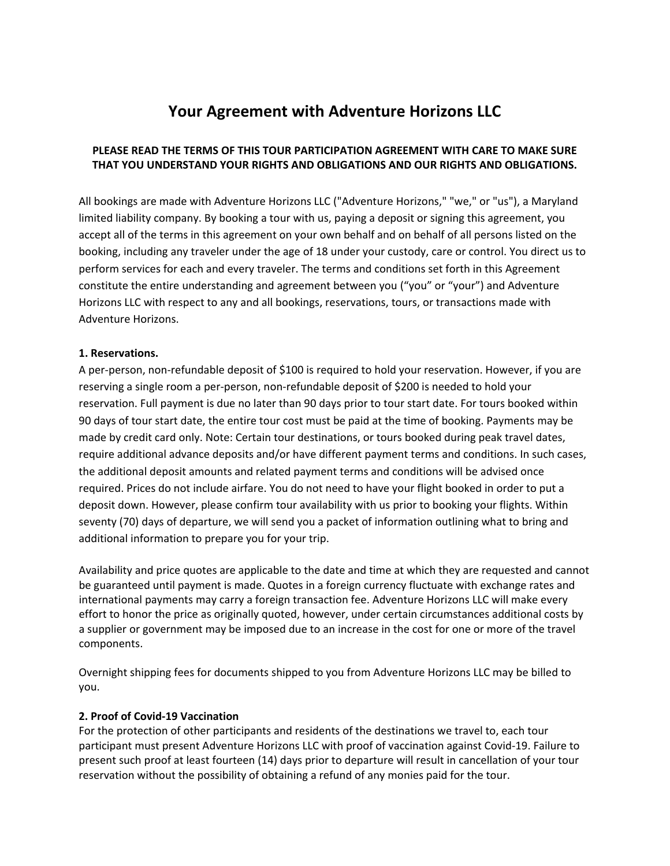# **Your Agreement with Adventure Horizons LLC**

# **PLEASE READ THE TERMS OF THIS TOUR PARTICIPATION AGREEMENT WITH CARE TO MAKE SURE THAT YOU UNDERSTAND YOUR RIGHTS AND OBLIGATIONS AND OUR RIGHTS AND OBLIGATIONS.**

All bookings are made with Adventure Horizons LLC ("Adventure Horizons," "we," or "us"), a Maryland limited liability company. By booking a tour with us, paying a deposit or signing this agreement, you accept all of the terms in this agreement on your own behalf and on behalf of all persons listed on the booking, including any traveler under the age of 18 under your custody, care or control. You direct us to perform services for each and every traveler. The terms and conditions set forth in this Agreement constitute the entire understanding and agreement between you ("you" or "your") and Adventure Horizons LLC with respect to any and all bookings, reservations, tours, or transactions made with Adventure Horizons.

# **1. Reservations.**

A per-person, non-refundable deposit of \$100 is required to hold your reservation. However, if you are reserving a single room a per-person, non-refundable deposit of \$200 is needed to hold your reservation. Full payment is due no later than 90 days prior to tour start date. For tours booked within 90 days of tour start date, the entire tour cost must be paid at the time of booking. Payments may be made by credit card only. Note: Certain tour destinations, or tours booked during peak travel dates, require additional advance deposits and/or have different payment terms and conditions. In such cases, the additional deposit amounts and related payment terms and conditions will be advised once required. Prices do not include airfare. You do not need to have your flight booked in order to put a deposit down. However, please confirm tour availability with us prior to booking your flights. Within seventy (70) days of departure, we will send you a packet of information outlining what to bring and additional information to prepare you for your trip.

Availability and price quotes are applicable to the date and time at which they are requested and cannot be guaranteed until payment is made. Quotes in a foreign currency fluctuate with exchange rates and international payments may carry a foreign transaction fee. Adventure Horizons LLC will make every effort to honor the price as originally quoted, however, under certain circumstances additional costs by a supplier or government may be imposed due to an increase in the cost for one or more of the travel components.

Overnight shipping fees for documents shipped to you from Adventure Horizons LLC may be billed to you.

# **2. Proof of Covid-19 Vaccination**

For the protection of other participants and residents of the destinations we travel to, each tour participant must present Adventure Horizons LLC with proof of vaccination against Covid-19. Failure to present such proof at least fourteen (14) days prior to departure will result in cancellation of your tour reservation without the possibility of obtaining a refund of any monies paid for the tour.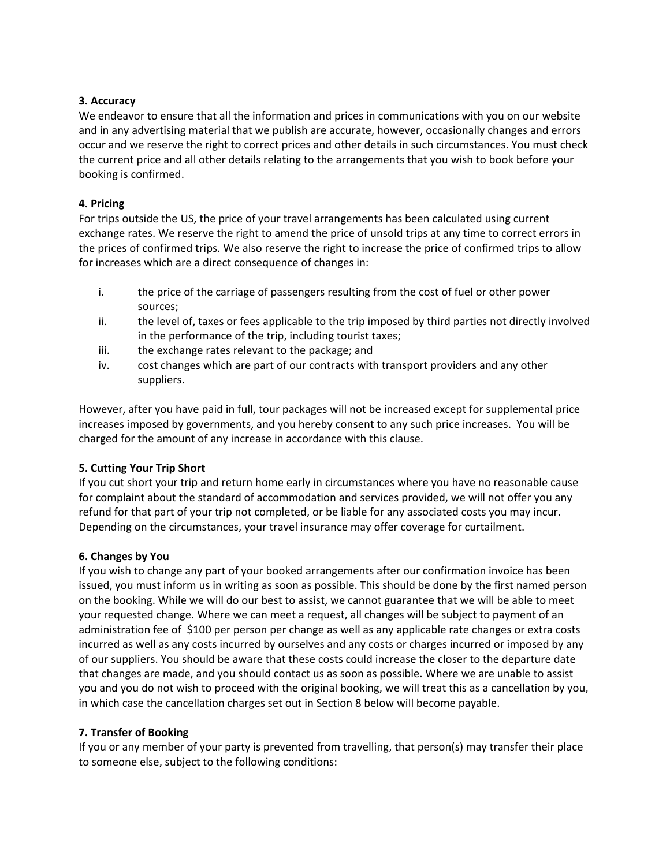# **3. Accuracy**

We endeavor to ensure that all the information and prices in communications with you on our website and in any advertising material that we publish are accurate, however, occasionally changes and errors occur and we reserve the right to correct prices and other details in such circumstances. You must check the current price and all other details relating to the arrangements that you wish to book before your booking is confirmed.

# **4. Pricing**

For trips outside the US, the price of your travel arrangements has been calculated using current exchange rates. We reserve the right to amend the price of unsold trips at any time to correct errors in the prices of confirmed trips. We also reserve the right to increase the price of confirmed trips to allow for increases which are a direct consequence of changes in:

- i. the price of the carriage of passengers resulting from the cost of fuel or other power sources;
- ii. the level of, taxes or fees applicable to the trip imposed by third parties not directly involved in the performance of the trip, including tourist taxes;
- iii. the exchange rates relevant to the package; and
- iv. cost changes which are part of our contracts with transport providers and any other suppliers.

However, after you have paid in full, tour packages will not be increased except for supplemental price increases imposed by governments, and you hereby consent to any such price increases. You will be charged for the amount of any increase in accordance with this clause.

# **5. Cutting Your Trip Short**

If you cut short your trip and return home early in circumstances where you have no reasonable cause for complaint about the standard of accommodation and services provided, we will not offer you any refund for that part of your trip not completed, or be liable for any associated costs you may incur. Depending on the circumstances, your travel insurance may offer coverage for curtailment.

# **6. Changes by You**

If you wish to change any part of your booked arrangements after our confirmation invoice has been issued, you must inform us in writing as soon as possible. This should be done by the first named person on the booking. While we will do our best to assist, we cannot guarantee that we will be able to meet your requested change. Where we can meet a request, all changes will be subject to payment of an administration fee of \$100 per person per change as well as any applicable rate changes or extra costs incurred as well as any costs incurred by ourselves and any costs or charges incurred or imposed by any of our suppliers. You should be aware that these costs could increase the closer to the departure date that changes are made, and you should contact us as soon as possible. Where we are unable to assist you and you do not wish to proceed with the original booking, we will treat this as a cancellation by you, in which case the cancellation charges set out in Section 8 below will become payable.

# **7. Transfer of Booking**

If you or any member of your party is prevented from travelling, that person(s) may transfer their place to someone else, subject to the following conditions: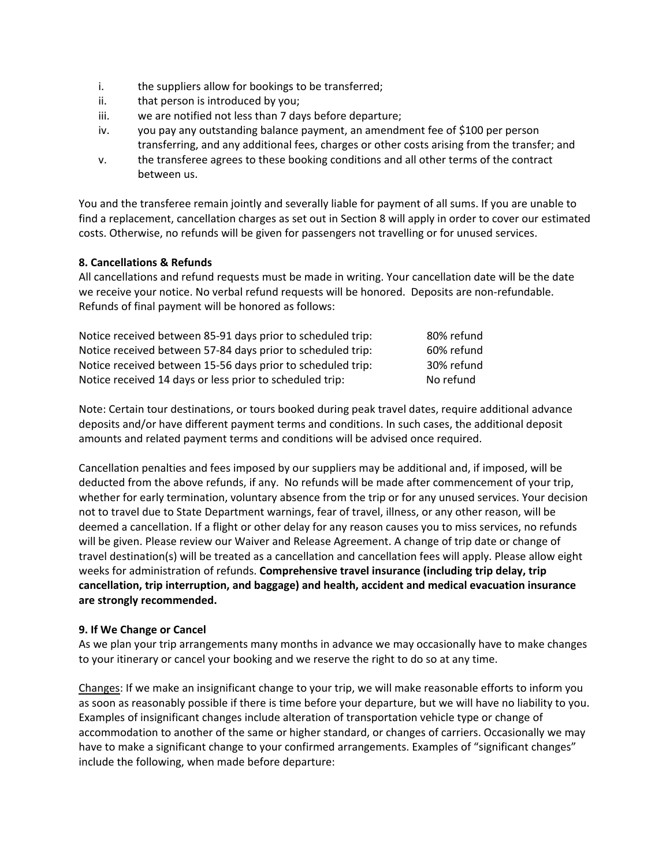- i. the suppliers allow for bookings to be transferred;
- ii. that person is introduced by you;
- iii. we are notified not less than 7 days before departure;
- iv. you pay any outstanding balance payment, an amendment fee of \$100 per person transferring, and any additional fees, charges or other costs arising from the transfer; and
- v. the transferee agrees to these booking conditions and all other terms of the contract between us.

You and the transferee remain jointly and severally liable for payment of all sums. If you are unable to find a replacement, cancellation charges as set out in Section 8 will apply in order to cover our estimated costs. Otherwise, no refunds will be given for passengers not travelling or for unused services.

# **8. Cancellations & Refunds**

All cancellations and refund requests must be made in writing. Your cancellation date will be the date we receive your notice. No verbal refund requests will be honored. Deposits are non-refundable. Refunds of final payment will be honored as follows:

| Notice received between 85-91 days prior to scheduled trip: | 80% refund |
|-------------------------------------------------------------|------------|
| Notice received between 57-84 days prior to scheduled trip: | 60% refund |
| Notice received between 15-56 days prior to scheduled trip: | 30% refund |
| Notice received 14 days or less prior to scheduled trip:    | No refund  |

Note: Certain tour destinations, or tours booked during peak travel dates, require additional advance deposits and/or have different payment terms and conditions. In such cases, the additional deposit amounts and related payment terms and conditions will be advised once required.

Cancellation penalties and fees imposed by our suppliers may be additional and, if imposed, will be deducted from the above refunds, if any. No refunds will be made after commencement of your trip, whether for early termination, voluntary absence from the trip or for any unused services. Your decision not to travel due to State Department warnings, fear of travel, illness, or any other reason, will be deemed a cancellation. If a flight or other delay for any reason causes you to miss services, no refunds will be given. Please review our Waiver and Release Agreement. A change of trip date or change of travel destination(s) will be treated as a cancellation and cancellation fees will apply. Please allow eight weeks for administration of refunds. **Comprehensive travel insurance (including trip delay, trip cancellation, trip interruption, and baggage) and health, accident and medical evacuation insurance are strongly recommended.**

# **9. If We Change or Cancel**

As we plan your trip arrangements many months in advance we may occasionally have to make changes to your itinerary or cancel your booking and we reserve the right to do so at any time.

Changes: If we make an insignificant change to your trip, we will make reasonable efforts to inform you as soon as reasonably possible if there is time before your departure, but we will have no liability to you. Examples of insignificant changes include alteration of transportation vehicle type or change of accommodation to another of the same or higher standard, or changes of carriers. Occasionally we may have to make a significant change to your confirmed arrangements. Examples of "significant changes" include the following, when made before departure: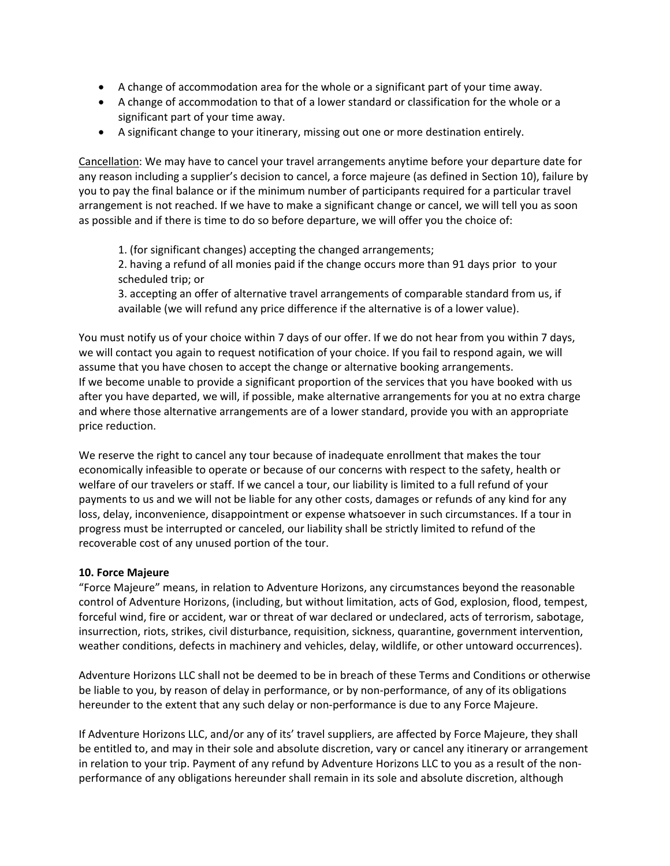- A change of accommodation area for the whole or a significant part of your time away.
- A change of accommodation to that of a lower standard or classification for the whole or a significant part of your time away.
- A significant change to your itinerary, missing out one or more destination entirely.

Cancellation: We may have to cancel your travel arrangements anytime before your departure date for any reason including a supplier's decision to cancel, a force majeure (as defined in Section 10), failure by you to pay the final balance or if the minimum number of participants required for a particular travel arrangement is not reached. If we have to make a significant change or cancel, we will tell you as soon as possible and if there is time to do so before departure, we will offer you the choice of:

1. (for significant changes) accepting the changed arrangements;

2. having a refund of all monies paid if the change occurs more than 91 days prior to your scheduled trip; or

3. accepting an offer of alternative travel arrangements of comparable standard from us, if available (we will refund any price difference if the alternative is of a lower value).

You must notify us of your choice within 7 days of our offer. If we do not hear from you within 7 days, we will contact you again to request notification of your choice. If you fail to respond again, we will assume that you have chosen to accept the change or alternative booking arrangements. If we become unable to provide a significant proportion of the services that you have booked with us after you have departed, we will, if possible, make alternative arrangements for you at no extra charge and where those alternative arrangements are of a lower standard, provide you with an appropriate price reduction.

We reserve the right to cancel any tour because of inadequate enrollment that makes the tour economically infeasible to operate or because of our concerns with respect to the safety, health or welfare of our travelers or staff. If we cancel a tour, our liability is limited to a full refund of your payments to us and we will not be liable for any other costs, damages or refunds of any kind for any loss, delay, inconvenience, disappointment or expense whatsoever in such circumstances. If a tour in progress must be interrupted or canceled, our liability shall be strictly limited to refund of the recoverable cost of any unused portion of the tour.

# **10. Force Majeure**

"Force Majeure" means, in relation to Adventure Horizons, any circumstances beyond the reasonable control of Adventure Horizons, (including, but without limitation, acts of God, explosion, flood, tempest, forceful wind, fire or accident, war or threat of war declared or undeclared, acts of terrorism, sabotage, insurrection, riots, strikes, civil disturbance, requisition, sickness, quarantine, government intervention, weather conditions, defects in machinery and vehicles, delay, wildlife, or other untoward occurrences).

Adventure Horizons LLC shall not be deemed to be in breach of these Terms and Conditions or otherwise be liable to you, by reason of delay in performance, or by non-performance, of any of its obligations hereunder to the extent that any such delay or non-performance is due to any Force Majeure.

If Adventure Horizons LLC, and/or any of its' travel suppliers, are affected by Force Majeure, they shall be entitled to, and may in their sole and absolute discretion, vary or cancel any itinerary or arrangement in relation to your trip. Payment of any refund by Adventure Horizons LLC to you as a result of the nonperformance of any obligations hereunder shall remain in its sole and absolute discretion, although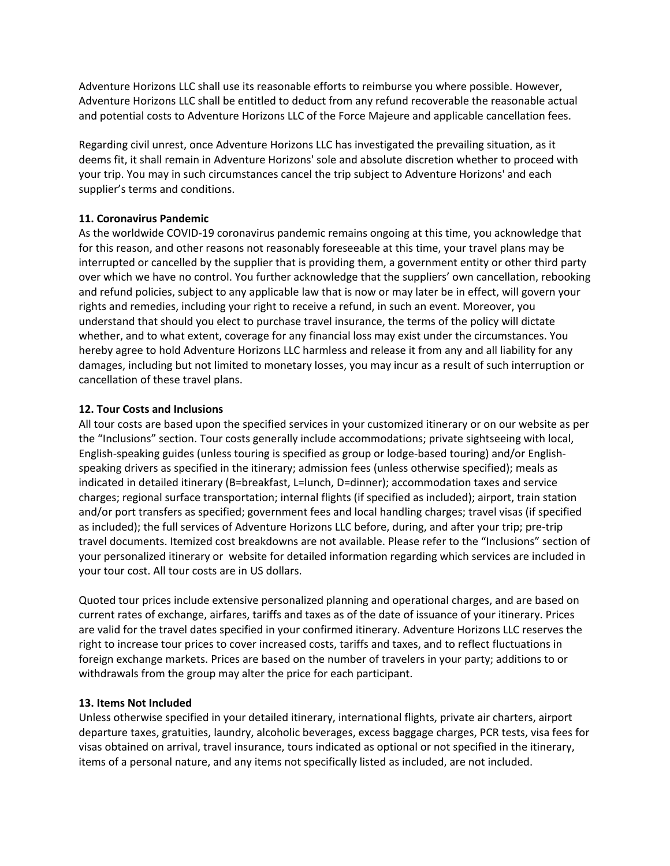Adventure Horizons LLC shall use its reasonable efforts to reimburse you where possible. However, Adventure Horizons LLC shall be entitled to deduct from any refund recoverable the reasonable actual and potential costs to Adventure Horizons LLC of the Force Majeure and applicable cancellation fees.

Regarding civil unrest, once Adventure Horizons LLC has investigated the prevailing situation, as it deems fit, it shall remain in Adventure Horizons' sole and absolute discretion whether to proceed with your trip. You may in such circumstances cancel the trip subject to Adventure Horizons' and each supplier's terms and conditions.

# **11. Coronavirus Pandemic**

As the worldwide COVID-19 coronavirus pandemic remains ongoing at this time, you acknowledge that for this reason, and other reasons not reasonably foreseeable at this time, your travel plans may be interrupted or cancelled by the supplier that is providing them, a government entity or other third party over which we have no control. You further acknowledge that the suppliers' own cancellation, rebooking and refund policies, subject to any applicable law that is now or may later be in effect, will govern your rights and remedies, including your right to receive a refund, in such an event. Moreover, you understand that should you elect to purchase travel insurance, the terms of the policy will dictate whether, and to what extent, coverage for any financial loss may exist under the circumstances. You hereby agree to hold Adventure Horizons LLC harmless and release it from any and all liability for any damages, including but not limited to monetary losses, you may incur as a result of such interruption or cancellation of these travel plans.

# **12. Tour Costs and Inclusions**

All tour costs are based upon the specified services in your customized itinerary or on our website as per the "Inclusions" section. Tour costs generally include accommodations; private sightseeing with local, English-speaking guides (unless touring is specified as group or lodge-based touring) and/or Englishspeaking drivers as specified in the itinerary; admission fees (unless otherwise specified); meals as indicated in detailed itinerary (B=breakfast, L=lunch, D=dinner); accommodation taxes and service charges; regional surface transportation; internal flights (if specified as included); airport, train station and/or port transfers as specified; government fees and local handling charges; travel visas (if specified as included); the full services of Adventure Horizons LLC before, during, and after your trip; pre-trip travel documents. Itemized cost breakdowns are not available. Please refer to the "Inclusions" section of your personalized itinerary or website for detailed information regarding which services are included in your tour cost. All tour costs are in US dollars.

Quoted tour prices include extensive personalized planning and operational charges, and are based on current rates of exchange, airfares, tariffs and taxes as of the date of issuance of your itinerary. Prices are valid for the travel dates specified in your confirmed itinerary. Adventure Horizons LLC reserves the right to increase tour prices to cover increased costs, tariffs and taxes, and to reflect fluctuations in foreign exchange markets. Prices are based on the number of travelers in your party; additions to or withdrawals from the group may alter the price for each participant.

# **13. Items Not Included**

Unless otherwise specified in your detailed itinerary, international flights, private air charters, airport departure taxes, gratuities, laundry, alcoholic beverages, excess baggage charges, PCR tests, visa fees for visas obtained on arrival, travel insurance, tours indicated as optional or not specified in the itinerary, items of a personal nature, and any items not specifically listed as included, are not included.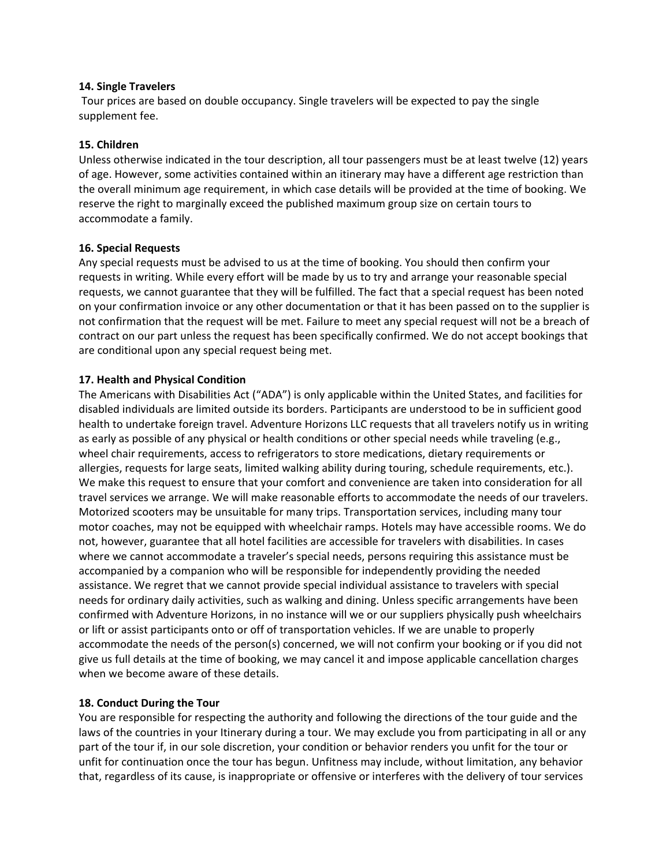#### **14. Single Travelers**

Tour prices are based on double occupancy. Single travelers will be expected to pay the single supplement fee.

# **15. Children**

Unless otherwise indicated in the tour description, all tour passengers must be at least twelve (12) years of age. However, some activities contained within an itinerary may have a different age restriction than the overall minimum age requirement, in which case details will be provided at the time of booking. We reserve the right to marginally exceed the published maximum group size on certain tours to accommodate a family.

# **16. Special Requests**

Any special requests must be advised to us at the time of booking. You should then confirm your requests in writing. While every effort will be made by us to try and arrange your reasonable special requests, we cannot guarantee that they will be fulfilled. The fact that a special request has been noted on your confirmation invoice or any other documentation or that it has been passed on to the supplier is not confirmation that the request will be met. Failure to meet any special request will not be a breach of contract on our part unless the request has been specifically confirmed. We do not accept bookings that are conditional upon any special request being met.

# **17. Health and Physical Condition**

The Americans with Disabilities Act ("ADA") is only applicable within the United States, and facilities for disabled individuals are limited outside its borders. Participants are understood to be in sufficient good health to undertake foreign travel. Adventure Horizons LLC requests that all travelers notify us in writing as early as possible of any physical or health conditions or other special needs while traveling (e.g., wheel chair requirements, access to refrigerators to store medications, dietary requirements or allergies, requests for large seats, limited walking ability during touring, schedule requirements, etc.). We make this request to ensure that your comfort and convenience are taken into consideration for all travel services we arrange. We will make reasonable efforts to accommodate the needs of our travelers. Motorized scooters may be unsuitable for many trips. Transportation services, including many tour motor coaches, may not be equipped with wheelchair ramps. Hotels may have accessible rooms. We do not, however, guarantee that all hotel facilities are accessible for travelers with disabilities. In cases where we cannot accommodate a traveler's special needs, persons requiring this assistance must be accompanied by a companion who will be responsible for independently providing the needed assistance. We regret that we cannot provide special individual assistance to travelers with special needs for ordinary daily activities, such as walking and dining. Unless specific arrangements have been confirmed with Adventure Horizons, in no instance will we or our suppliers physically push wheelchairs or lift or assist participants onto or off of transportation vehicles. If we are unable to properly accommodate the needs of the person(s) concerned, we will not confirm your booking or if you did not give us full details at the time of booking, we may cancel it and impose applicable cancellation charges when we become aware of these details.

# **18. Conduct During the Tour**

You are responsible for respecting the authority and following the directions of the tour guide and the laws of the countries in your Itinerary during a tour. We may exclude you from participating in all or any part of the tour if, in our sole discretion, your condition or behavior renders you unfit for the tour or unfit for continuation once the tour has begun. Unfitness may include, without limitation, any behavior that, regardless of its cause, is inappropriate or offensive or interferes with the delivery of tour services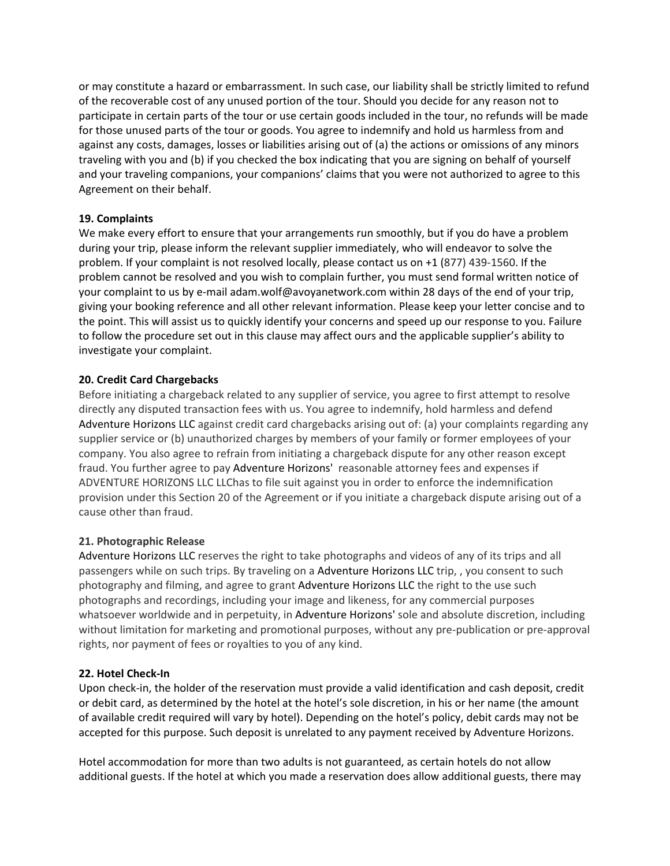or may constitute a hazard or embarrassment. In such case, our liability shall be strictly limited to refund of the recoverable cost of any unused portion of the tour. Should you decide for any reason not to participate in certain parts of the tour or use certain goods included in the tour, no refunds will be made for those unused parts of the tour or goods. You agree to indemnify and hold us harmless from and against any costs, damages, losses or liabilities arising out of (a) the actions or omissions of any minors traveling with you and (b) if you checked the box indicating that you are signing on behalf of yourself and your traveling companions, your companions' claims that you were not authorized to agree to this Agreement on their behalf.

# **19. Complaints**

We make every effort to ensure that your arrangements run smoothly, but if you do have a problem during your trip, please inform the relevant supplier immediately, who will endeavor to solve the problem. If your complaint is not resolved locally, please contact us on +1 (877) 439-1560. If the problem cannot be resolved and you wish to complain further, you must send formal written notice of your complaint to us by e-mail adam.wolf@avoyanetwork.com within 28 days of the end of your trip, giving your booking reference and all other relevant information. Please keep your letter concise and to the point. This will assist us to quickly identify your concerns and speed up our response to you. Failure to follow the procedure set out in this clause may affect ours and the applicable supplier's ability to investigate your complaint.

# **20. Credit Card Chargebacks**

Before initiating a chargeback related to any supplier of service, you agree to first attempt to resolve directly any disputed transaction fees with us. You agree to indemnify, hold harmless and defend Adventure Horizons LLC against credit card chargebacks arising out of: (a) your complaints regarding any supplier service or (b) unauthorized charges by members of your family or former employees of your company. You also agree to refrain from initiating a chargeback dispute for any other reason except fraud. You further agree to pay Adventure Horizons' reasonable attorney fees and expenses if ADVENTURE HORIZONS LLC LLChas to file suit against you in order to enforce the indemnification provision under this Section 20 of the Agreement or if you initiate a chargeback dispute arising out of a cause other than fraud.

# **21. Photographic Release**

Adventure Horizons LLC reserves the right to take photographs and videos of any of its trips and all passengers while on such trips. By traveling on a Adventure Horizons LLC trip, , you consent to such photography and filming, and agree to grant Adventure Horizons LLC the right to the use such photographs and recordings, including your image and likeness, for any commercial purposes whatsoever worldwide and in perpetuity, in Adventure Horizons' sole and absolute discretion, including without limitation for marketing and promotional purposes, without any pre-publication or pre-approval rights, nor payment of fees or royalties to you of any kind.

# **22. Hotel Check-In**

Upon check-in, the holder of the reservation must provide a valid identification and cash deposit, credit or debit card, as determined by the hotel at the hotel's sole discretion, in his or her name (the amount of available credit required will vary by hotel). Depending on the hotel's policy, debit cards may not be accepted for this purpose. Such deposit is unrelated to any payment received by Adventure Horizons.

Hotel accommodation for more than two adults is not guaranteed, as certain hotels do not allow additional guests. If the hotel at which you made a reservation does allow additional guests, there may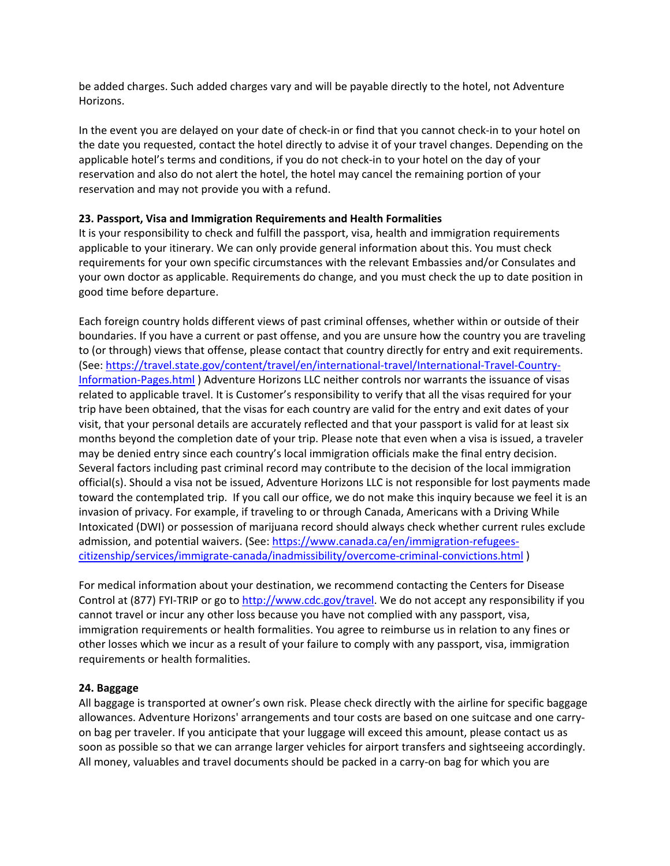be added charges. Such added charges vary and will be payable directly to the hotel, not Adventure Horizons.

In the event you are delayed on your date of check-in or find that you cannot check-in to your hotel on the date you requested, contact the hotel directly to advise it of your travel changes. Depending on the applicable hotel's terms and conditions, if you do not check-in to your hotel on the day of your reservation and also do not alert the hotel, the hotel may cancel the remaining portion of your reservation and may not provide you with a refund.

# **23. Passport, Visa and Immigration Requirements and Health Formalities**

It is your responsibility to check and fulfill the passport, visa, health and immigration requirements applicable to your itinerary. We can only provide general information about this. You must check requirements for your own specific circumstances with the relevant Embassies and/or Consulates and your own doctor as applicable. Requirements do change, and you must check the up to date position in good time before departure.

Each foreign country holds different views of past criminal offenses, whether within or outside of their boundaries. If you have a current or past offense, and you are unsure how the country you are traveling to (or through) views that offense, please contact that country directly for entry and exit requirements. (See: [https://travel.state.gov/content/travel/en/international-travel/International-Travel-Country-](https://travel.state.gov/content/travel/en/international-travel/International-Travel-Country-Information-Pages.html)[Information-Pages.html](https://travel.state.gov/content/travel/en/international-travel/International-Travel-Country-Information-Pages.html) ) Adventure Horizons LLC neither controls nor warrants the issuance of visas related to applicable travel. It is Customer's responsibility to verify that all the visas required for your trip have been obtained, that the visas for each country are valid for the entry and exit dates of your visit, that your personal details are accurately reflected and that your passport is valid for at least six months beyond the completion date of your trip. Please note that even when a visa is issued, a traveler may be denied entry since each country's local immigration officials make the final entry decision. Several factors including past criminal record may contribute to the decision of the local immigration official(s). Should a visa not be issued, Adventure Horizons LLC is not responsible for lost payments made toward the contemplated trip. If you call our office, we do not make this inquiry because we feel it is an invasion of privacy. For example, if traveling to or through Canada, Americans with a Driving While Intoxicated (DWI) or possession of marijuana record should always check whether current rules exclude admission, and potential waivers. (See: [https://www.canada.ca/en/immigration-refugees](https://www.canada.ca/en/immigration-refugees-citizenship/services/immigrate-canada/inadmissibility/overcome-criminal-convictions.html)[citizenship/services/immigrate-canada/inadmissibility/overcome-criminal-convictions.html](https://www.canada.ca/en/immigration-refugees-citizenship/services/immigrate-canada/inadmissibility/overcome-criminal-convictions.html) )

For medical information about your destination, we recommend contacting the Centers for Disease Control at (877) FYI-TRIP or go to [http://www.cdc.gov/travel.](http://www.cdc.gov/travel) We do not accept any responsibility if you cannot travel or incur any other loss because you have not complied with any passport, visa, immigration requirements or health formalities. You agree to reimburse us in relation to any fines or other losses which we incur as a result of your failure to comply with any passport, visa, immigration requirements or health formalities.

# **24. Baggage**

All baggage is transported at owner's own risk. Please check directly with the airline for specific baggage allowances. Adventure Horizons' arrangements and tour costs are based on one suitcase and one carryon bag per traveler. If you anticipate that your luggage will exceed this amount, please contact us as soon as possible so that we can arrange larger vehicles for airport transfers and sightseeing accordingly. All money, valuables and travel documents should be packed in a carry-on bag for which you are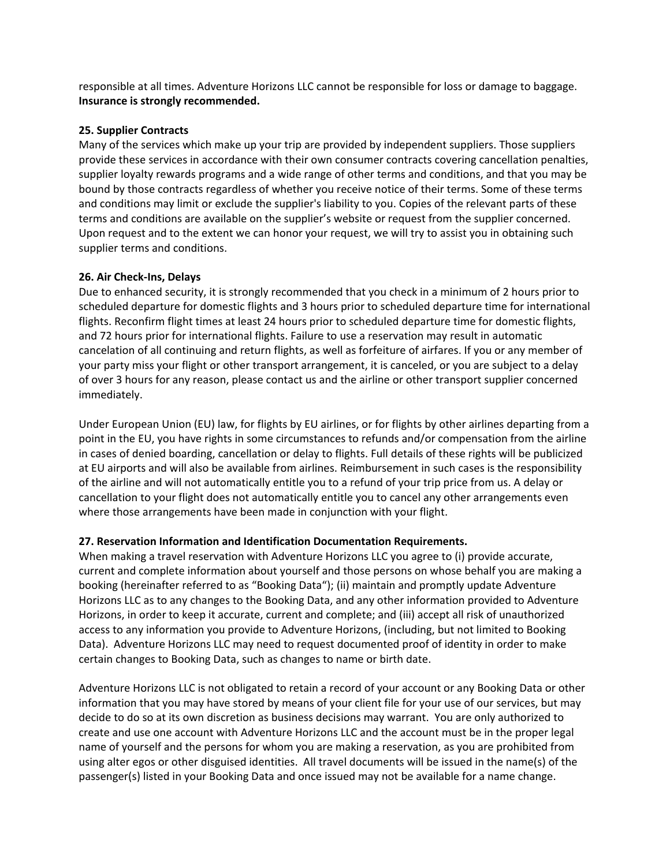responsible at all times. Adventure Horizons LLC cannot be responsible for loss or damage to baggage. **Insurance is strongly recommended.**

# **25. Supplier Contracts**

Many of the services which make up your trip are provided by independent suppliers. Those suppliers provide these services in accordance with their own consumer contracts covering cancellation penalties, supplier loyalty rewards programs and a wide range of other terms and conditions, and that you may be bound by those contracts regardless of whether you receive notice of their terms. Some of these terms and conditions may limit or exclude the supplier's liability to you. Copies of the relevant parts of these terms and conditions are available on the supplier's website or request from the supplier concerned. Upon request and to the extent we can honor your request, we will try to assist you in obtaining such supplier terms and conditions.

# **26. Air Check-Ins, Delays**

Due to enhanced security, it is strongly recommended that you check in a minimum of 2 hours prior to scheduled departure for domestic flights and 3 hours prior to scheduled departure time for international flights. Reconfirm flight times at least 24 hours prior to scheduled departure time for domestic flights, and 72 hours prior for international flights. Failure to use a reservation may result in automatic cancelation of all continuing and return flights, as well as forfeiture of airfares. If you or any member of your party miss your flight or other transport arrangement, it is canceled, or you are subject to a delay of over 3 hours for any reason, please contact us and the airline or other transport supplier concerned immediately.

Under European Union (EU) law, for flights by EU airlines, or for flights by other airlines departing from a point in the EU, you have rights in some circumstances to refunds and/or compensation from the airline in cases of denied boarding, cancellation or delay to flights. Full details of these rights will be publicized at EU airports and will also be available from airlines. Reimbursement in such cases is the responsibility of the airline and will not automatically entitle you to a refund of your trip price from us. A delay or cancellation to your flight does not automatically entitle you to cancel any other arrangements even where those arrangements have been made in conjunction with your flight.

# **27. Reservation Information and Identification Documentation Requirements.**

When making a travel reservation with Adventure Horizons LLC you agree to (i) provide accurate, current and complete information about yourself and those persons on whose behalf you are making a booking (hereinafter referred to as "Booking Data"); (ii) maintain and promptly update Adventure Horizons LLC as to any changes to the Booking Data, and any other information provided to Adventure Horizons, in order to keep it accurate, current and complete; and (iii) accept all risk of unauthorized access to any information you provide to Adventure Horizons, (including, but not limited to Booking Data). Adventure Horizons LLC may need to request documented proof of identity in order to make certain changes to Booking Data, such as changes to name or birth date.

Adventure Horizons LLC is not obligated to retain a record of your account or any Booking Data or other information that you may have stored by means of your client file for your use of our services, but may decide to do so at its own discretion as business decisions may warrant. You are only authorized to create and use one account with Adventure Horizons LLC and the account must be in the proper legal name of yourself and the persons for whom you are making a reservation, as you are prohibited from using alter egos or other disguised identities. All travel documents will be issued in the name(s) of the passenger(s) listed in your Booking Data and once issued may not be available for a name change.